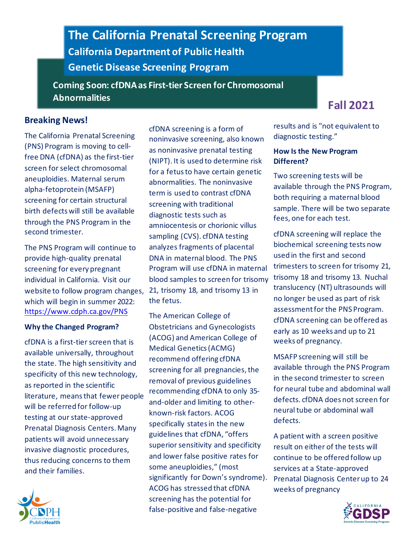# **The California Prenatal Screening Program California Department of Public Health Genetic Disease Screening Program**

**Coming Soon: cfDNAas First-tier Screen for Chromosomal Abnormalities Fall <sup>2021</sup>**

# **Breaking News!**

The California Prenatal Screening (PNS) Program is moving to cellfree DNA (cfDNA) as the first-tier screen for select chromosomal aneuploidies. Maternal serum alpha-fetoprotein (MSAFP) screening for certain structural birth defects will still be available through the PNS Program in the second trimester.

The PNS Program will continue to provide high-quality prenatal screening for every pregnant individual in California. Visit our website to follow program changes, which will begin in summer 2022: <https://www.cdph.ca.gov/PNS>

#### **Why the Changed Program?**

cfDNA is a first-tier screen that is available universally, throughout the state. The high sensitivity and specificity of this new technology, as reported in the scientific literature, means that fewer people will be referred for follow-up testing at our state-approved Prenatal Diagnosis Centers. Many patients will avoid unnecessary invasive diagnostic procedures, thus reducing concerns to them and their families.



cfDNA screening is a form of noninvasive screening, also known as noninvasive prenatal testing (NIPT). It is used to determine risk for a fetus to have certain genetic abnormalities. The noninvasive term is used to contrast cfDNA screening with traditional diagnostic tests such as amniocentesis or chorionic villus sampling (CVS). cfDNA testing analyzes fragments of placental DNA in maternal blood. The PNS Program will use cfDNA in maternal blood samples to screen for trisomy 21, trisomy 18, and trisomy 13 in the fetus.

The American College of Obstetricians and Gynecologists (ACOG) and American College of Medical Genetics (ACMG) recommend offering cfDNA screening for all pregnancies, the removal of previous guidelines recommending cfDNA to only 35 and-older and limiting to otherknown-risk factors. ACOG specifically states in the new guidelines that cfDNA, "offers superior sensitivity and specificity and lower false positive rates for some aneuploidies," (most significantly for Down's syndrome). ACOG has stressed that cfDNA screening has the potential for false-positive and false-negative

results and is "not equivalent to diagnostic testing."

#### **How Is the New Program Different?**

Two screening tests will be available through the PNS Program, both requiring a maternal blood sample. There will be two separate fees, one for each test.

cfDNA screening will replace the biochemical screening tests now used in the first and second trimesters to screen for trisomy 21, trisomy 18 and trisomy 13. Nuchal translucency (NT) ultrasounds will no longer be used as part of risk assessment for the PNS Program. cfDNA screening can be offered as early as 10 weeks and up to 21 weeks of pregnancy.

MSAFP screening will still be available through the PNS Program in the second trimester to screen for neural tube and abdominal wall defects. cfDNA does not screen for neural tube or abdominal wall defects.

A patient with a screen positive result on either of the tests will continue to be offered follow up services at a State-approved Prenatal Diagnosis Center up to 24 weeks of pregnancy